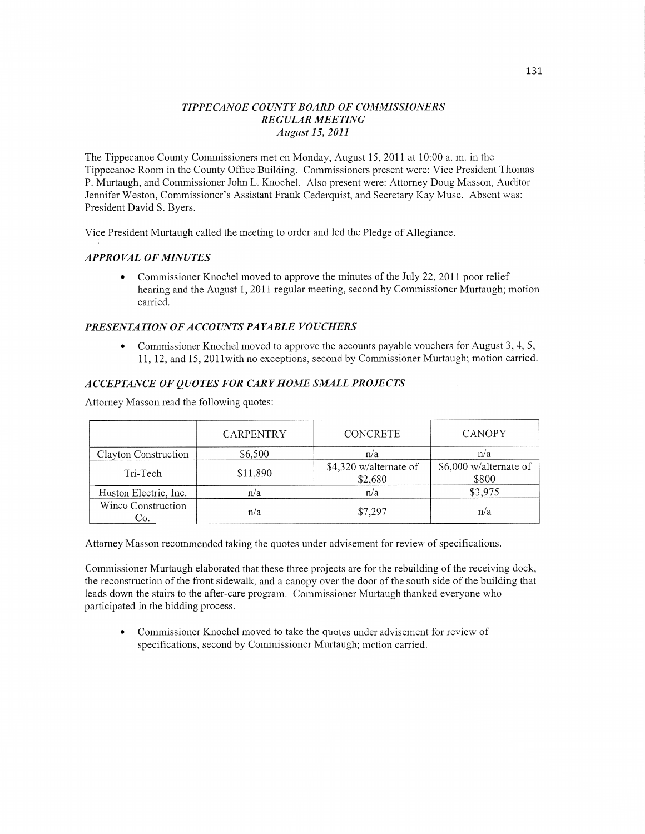# *TIPPE CANOE COUNTY BOARD* OF *COMMISSIONERS REGULAR MEETING August* 15, *2011*

The Tippecanoe County Commissioners met on Monday, August 15, 2011 at **10:00** a. m. in the ' Tippecanoe Room in the County Office Building. Commissioners present were: Vice President Thomas <sup>1</sup> P. Murtaugh, and Commissioner John L. Knochel. Also present were: Attorney Doug Masson, Auditor <sup>i</sup> Jennifer Weston, Commissioner's Assistant Frank Cederquist, and Secretary Kay Muse. Absent was: President David S. Byers.

Vice President Murtaugh called the meeting to order and led the Pledge of Allegiance.

# *APPROVAL* OF *MINUTES*

**0** Commissioner Knochel moved to approve the minutes of the July 22, 2011 poor relief hearing and the August 1, 2011 regular meeting, second by Commissioner Murtaugh; motion carried.

# *PRESEN T A* TI 0N OF *A C C 0* UN *T S* PA *YABLE* V0 *U CHERS*

• Commissioner Knochel moved to approve the accounts payable vouchers for August 3, 4, 5, 11, 12, and 15, 2011With no exceptions, second by Commissioner Murtaugh; motion carried.

# *ACCEPTANCE* OF *QUOTES* FOR *CARYHOME SMALL PROJECTS*

Attorney Masson read the following quotes:

|                           | <b>CARPENTRY</b> | <b>CONCRETE</b>                   | <b>CANOPY</b>                   |
|---------------------------|------------------|-----------------------------------|---------------------------------|
| Clayton Construction      | \$6,500          | n/a                               | n/a                             |
| Tri-Tech                  | \$11,890         | \$4,320 w/alternate of<br>\$2,680 | \$6,000 w/alternate of<br>\$800 |
| Huston Electric, Inc.     | n/a              | n/a                               | \$3,975                         |
| Winco Construction<br>Co. | n/a              | \$7,297                           | n/a                             |

Attorney Masson recommended taking the quotes under advisement for review of specifications.

Commissioner Murtaugh elaborated that these three projects are for the rebuilding of the receiving dock, the reconstruction of the front sidewalk, and a canopy over the door of the south side of the building that leads down the stairs to the after-care program. Commissioner Multaugh thanked everyone who participated in the bidding process.

**0** Commissioner Knochel moved to take the quotes under advisement for review of specifications, second by Commissioner Murtaugh; motion carried.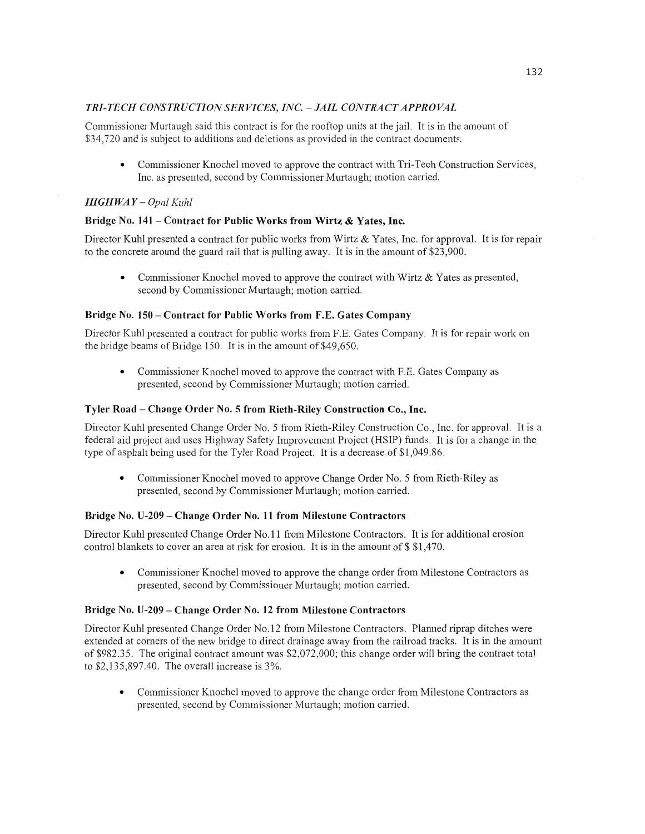# *TRI-TECH CONSTRUCTIONSERVICES, INC. —JAIL CONTRACTAPPROVAL*

Commissioner Murtaugh said this contract is for the rooftop units at the jail. It is in the amount of \$34,720 and is subject to additions and deletions as provided in the contract documents.

**0** Commissioner Knochel moved to approve the contract with Tri—Tech Construction Services, Inc. as presented, second by Commissioner Murtaugh; motion carried.

# *HIGH* WA *Y* **—** *Opal Kuhl*

# **Bridge** No. 141 - **Contract** for **Public Works from Wirtz & Yates, Inc.**

Director Kuhl presented a contract for public works from Wirtz & Yates, Inc. for approval. It is for repair to the concrete around the guard rail that is pulling away. It is in the amount of \$23,900.

• Commissioner Knochel moved to approve the contract with Wirtz & Yates as presented, second by Commissioner Murtaugh; motion carried.

# **Bridge No. 150 – Contract for Public Works from F.E. Gates Company**

Director Kuhl presented a contract for public works from F.E. Gates Company. It is for repair work on the bridge beams of Bridge 150. It is in the amount of \$49,650.

• Commissioner Knochel moved to approve the contract with F.E. Gates Company as presented, second by Commissioner Murtaugh; motion carried.

#### **Tyler Road** — **Change Order** No. 5 **from Rieth-Riley Construction** Co., Inc.

Director Kuhl presented Change Order No. 5 from Rieth—Riley Construction Co., Inc. for approval. It is **<sup>a</sup>** federal aid project and uses Highway Safety Improvement Project (HSIP) funds. It is for a change in the type of asphalt being used for the Tyler Road Project. It is a decrease of \$1,049.86.

**0** Commissioner Knochel moved to approve Change Order No. 5 from Kieth—Riley as presented, second by Commissioner Murtaugh; motion carried.

# **Bridge** No. **U-209 — Change Order** No. 11 **from Milestone Contractors**

Director Kuhl presented Change Order No.11 from Milestone Contractors. It is for additional erosion control blankets to cover an area at risk for erosion. It is in the amount of \$ \$1,470.

**0** Commissioner Knochel moved to approve the change order from Milestone Contractors as presented, second by Commissioner Murtaugh; motion carried.

#### **Bridge** No. **U-209** — **Change Order** No. 12 **from Milestone Contractors**

Director Kuhl presented Change Order No.12 from Milestone Contractors. Planned riprap ditches were extended at corners of the new bridge to direct drainage away from the railroad tracks. It is in the amount of \$982.35. The original contract amount was \$2,072,000; this change order will bring the contract total to \$2,135,897.40. The overall increase is 3%.

**0** Commissioner Knochel moved to approve the change order from Milestone Contractors as presented, second by Commissioner Murtaugh; motion carried.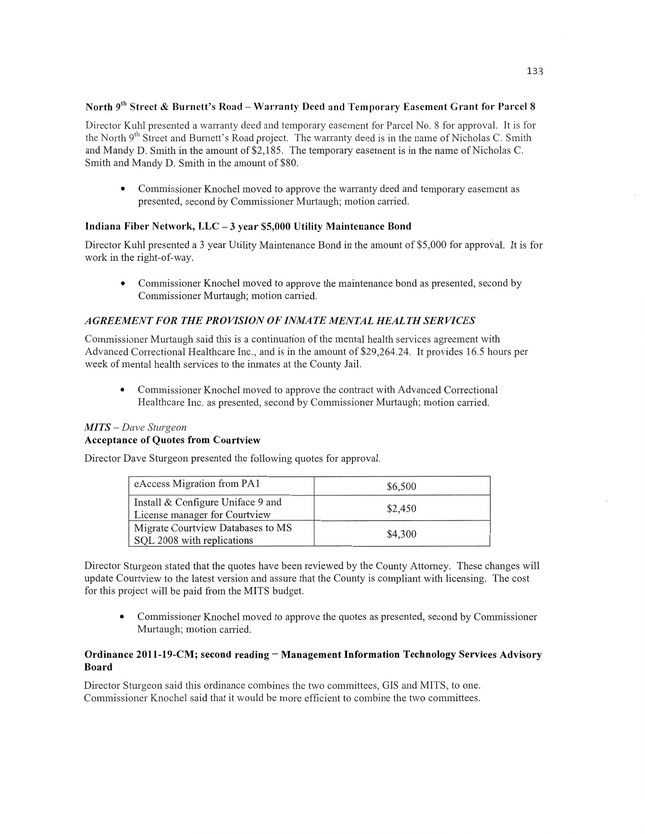# **North** 9"I **Street & Burnett's Road — Warranty Deed** and **Temporary Easement Grant** for **Parcel 8**

Director Kuhl presented a warranty deed and temporary easement for Parcel No. 8 for approval. It is for the North 9'h Street and Burnett's Road project. The warranty deed is in the name of Nicholas C. Smith and Mandy D. Smith in the amount of \$2,185. The temporary easement is in the name of Nicholas C. Smith and Mandy D. Smith in the amount of \$80.

**0** Commissioner Knochel moved to approve the warranty deed and temporary easement as presented, second by Commissioner Murtaugh; motion carried.

# **Indiana Fiber Network,** LLC *—* **3 year \$5,000 Utility Maintenance Bond**

Director Kuhl presented a 3 year Utility Maintenance **Bond** in the **amount** of \$5,000 for apeal. It is for work in the right-of-way.

**0** Commissioner Knochel moved to approve the maintenance bond as presented, second by Commissioner Murtaugh; **motion** carried.

# *AGREEMENT* FOR THE *PROVISION* OF *INMATE MENTAL HEALTH* SER VI CES

Commissioner Murtaugh said this is a continuation of the mental health services agreement with Advanced Correctional Healthcare Inc., and is in the amount of \$29,264.24. It provides 16.5 hours per week of mental **health** services to the inmates at the County Jail.

**0** Commissioner Knochel moved to approve the contract with Advanced Correctional Healthcare Inc. as presented, second by Commissioner Murtaugh; motion carried.

#### MI *T S* — *Dave Sturgeon*

# **Acceptance** of **Quotes** from **Courtview**

Director Dave Sturgeon presented the following quotes for approval.

| eAccess Migration from PA1                                         | \$6,500 |
|--------------------------------------------------------------------|---------|
| Install & Configure Uniface 9 and<br>License manager for Courtview | \$2,450 |
| Migrate Courtview Databases to MS<br>SQL 2008 with replications    | \$4,300 |

Director Sturgeon stated that the quotes have been reviewed by the County Attorney. **These** changes will update Courtview to the latest version and assure **that** the County is **compliant** with licensing. The cost for this project will be paid from the **MITS** budget.

**0** Commissioner Knochel moved to approve the quotes as presented, second by **Commissioner**  Murtaugh; motion carried.

### Ordinance 2011-19-CM; second reading - Management Information Technology Services Advisory **Board**

Director Sturgeon said this ordinance combines the two committees, GIS and MITS, to **one.**  Commissioner Knochel said that it would be more efficient to combine the two committees.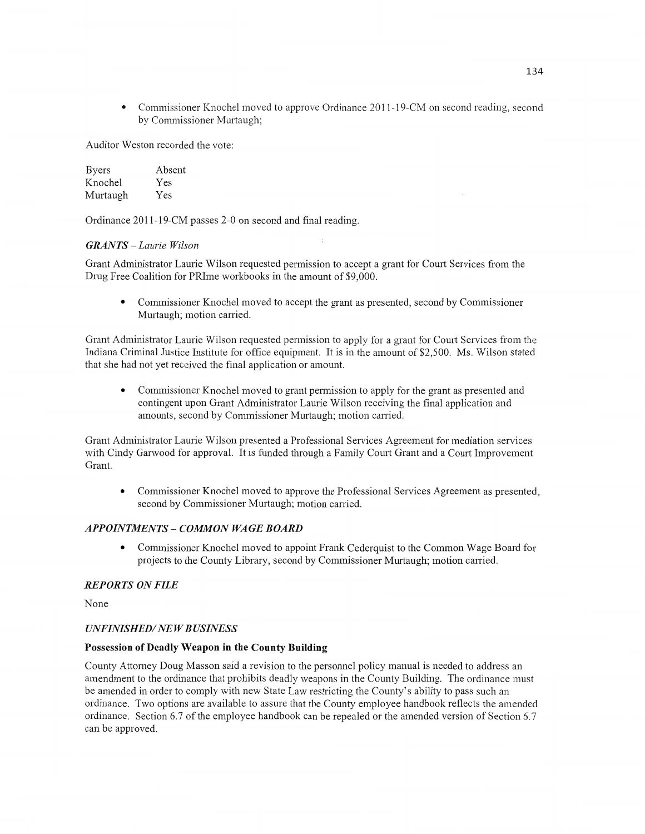**0** Commissioner Knochel moved to approve Ordinance 2011-19-CM on second reading, second by Commissioner Murtaugh;

Auditor Weston recorded the vote:

| Byers    | Absent |
|----------|--------|
| Knochel  | Yes    |
| Murtaugh | Yes    |

Ordinance 2011-19-CM passes 2-0 on **second** and final reading.

# $GRANTS - Laurie Wilson$

Grant Administrator Laurie Wilson requested permission to accept a grant for Court Services from the Drug Free Coalition for PRIme workbooks in the **amount** of \$9,000.

**0** Commissioner Knochel moved to accept the grant as presented, second by Commissioner Murtaugh; motion carried.

Grant Administrator Laurie Wilson requested permission to apply for a grant for Court Services from the Indiana Criminal Justice Institute for office equipment. It is in the amount of \$2,500. Ms. Wilson stated that she had not yet received the final application or amount.

**0** Commissioner Knochel moved to grant permission to apply for the grant as presented and contingent upon Grant Administrator Laurie Wilson receiving the final application and amounts, second by Commissioner Murtaugh; motion carried.

Grant Administrator Laurie Wilson presented a Professional Services Agreement for mediation services with Cindy Garwood for approval. It is **funded** through a Family Court Grant and a **Court** Improvement Grant.

**0** Commissioner Knochel moved to approve the Professional Services Agreement as presented, second by Commissioner Murtaugh; motion carried.

# *APPOINTMENTS* **—** *COMMON* WA GE *BOARD*

**0** Commissioner Knochel moved to appoint Frank Cederquist to the **Common** Wage Board for projects to the County Library, second by Commissioner Murtaugh; **motion** carried.

# *REPORTS* ON *FILE*

None

# $UNFINISHED/NEW$ *BUSINESS*

#### **Possession** of **Deadly Weapon** in the **County Building**

County Attorney Doug Masson said a revision to the personnel policy manual is needed to address an amendment to the ordinance that prohibits deadly weapons in the County Building. The ordinance must be amended in order to comply with new State Law restricting the County's ability to pass such an ordinance. Two options are available to assure that the County employee handbook reflects the amended ordinance. Section 6.7 of the employee handbook can be repealed or the amended version of Section 6.7 can be approved.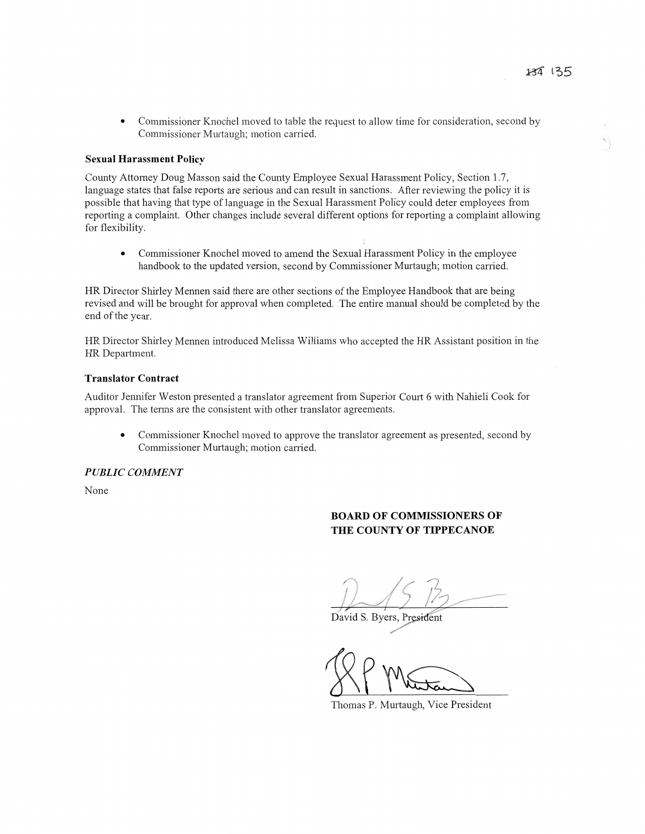**0** Commissioner Knochel moved to table the request to allow time for consideration, second by Commissioner Murtaugh; motion carried.

#### **Sexual Harassment Policy**

County Attorney Doug Masson said the County Employee Sexual Harassment Policy, Section 1.7, language states **that** false reports are sen'ous and can result in **sanctions.** After reviewing the policy it is possible that having that type of language in the Sexual Harassment Policy could deter employees from reporting a complaint. Other changes include several different options for reporting **<sup>a</sup>**complaint allowing for flexibility.

**0** Commissioner Knochel moved to amend the Sexual Harassment Policy in the employee handbook to the updated version, second by Commissioner Murtaugh; motion carn'ed.

HR Director Shirley **Mennen** said there are other sections of the Employee Handbook **that** are being revised and will be brought for approval **when** completed. The entire manual **should** be completed by the end of the year.

HR Director Shirley Mennen introduced Melissa Williams who accepted the HR Assistant position in the HR Department.

#### **Translator Contract**

Auditor Jennifer Weston presented a translator agreement from Superior Court 6 with Nahieli Cook for approval. The terms are the consistent with other translator agreements.

**0** Commissioner Knochel moved to approve the translator agreement as presented, second by Commissioner Murtaugh; motion carried.

# *PUBLIC COMMENT*

None

# **BOARD OF COMMISSIONERS OF** THE **COUNTY** OF **TIPPECANOE**

*I f* 

David S. Byers, President

XP Matan

Thomas P. Murtaugh, Vice President